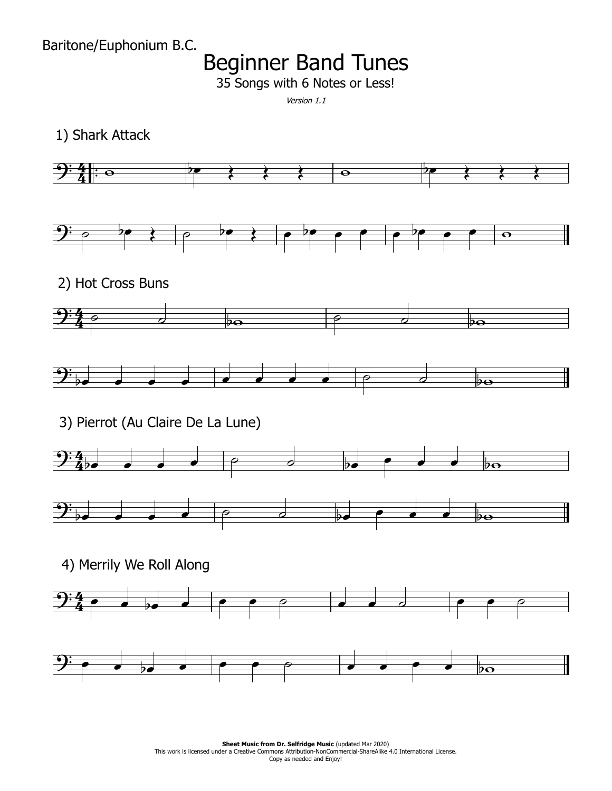Baritone/Euphonium B.C.

## Beginner Band Tunes

35 Songs with 6 Notes or Less!

Version 1.1

1) Shark Attack



**Sheet Music from Dr. Selfridge Music (updated Mar 2020) Sheet Music from Dr. Selfridge Music** (updated Mar 2020)<br>This work is licensed under a Creative Commons Attribution-NonCommercial-ShareAlike 4.0 International License. Copy as needed and Enjoy!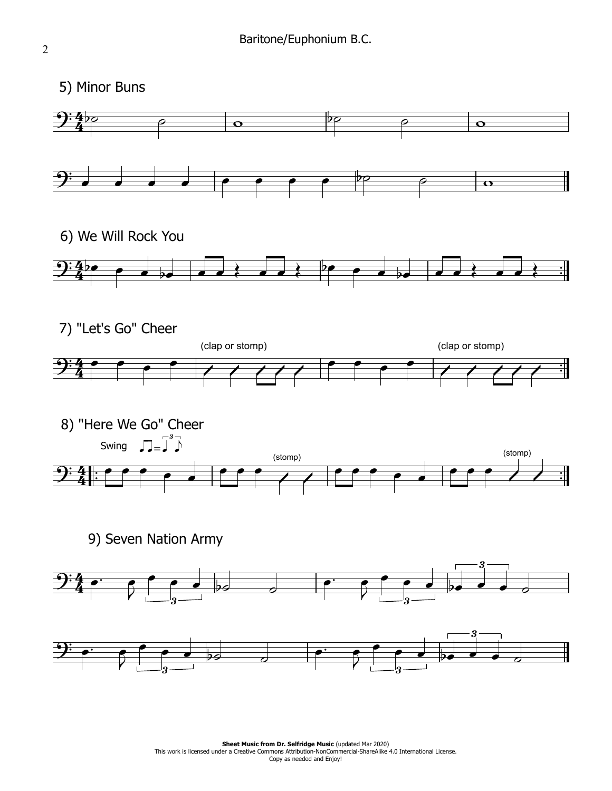5) Minor Buns

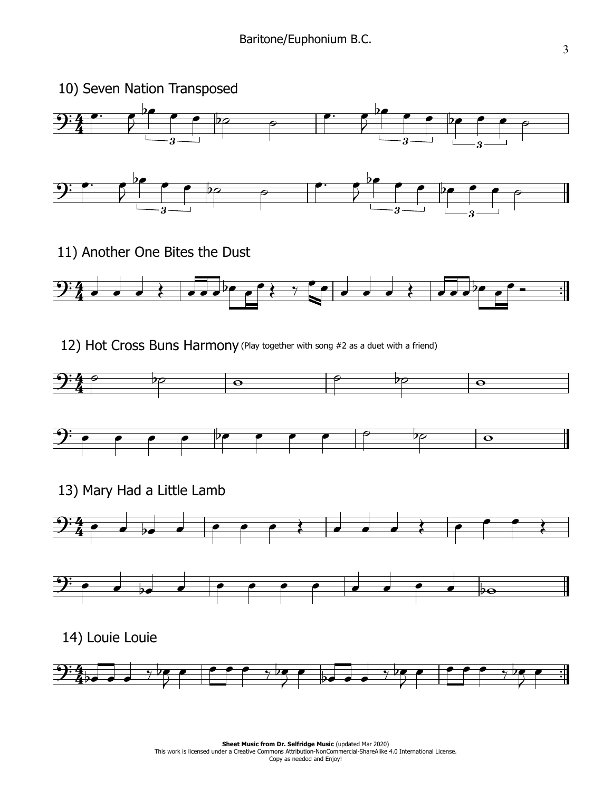

11) Another One Bites the Dust



12) Hot Cross Buns Harmony (Play together with song #2 as a duet with a friend)





13) Mary Had a Little Lamb







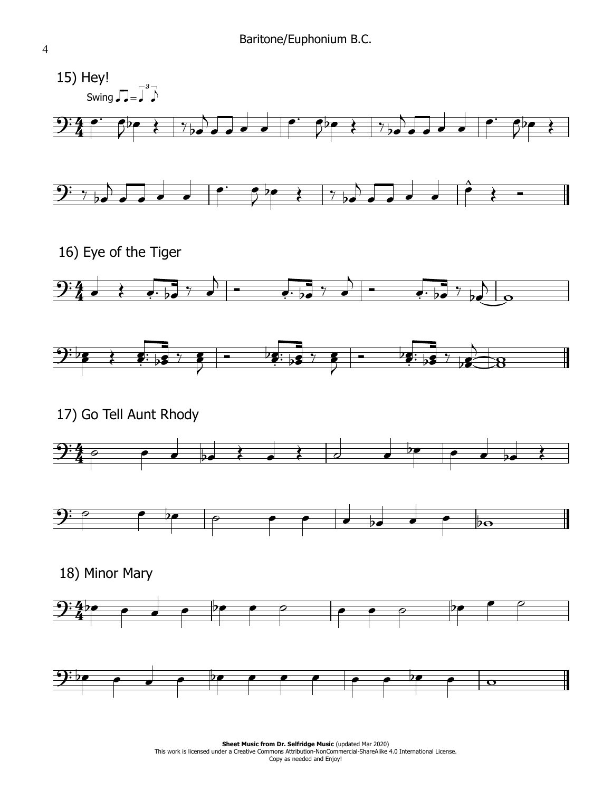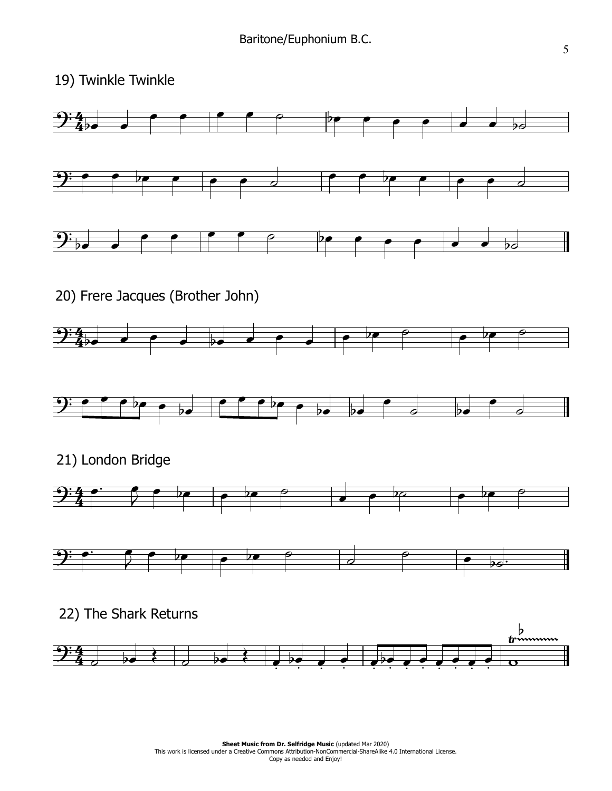19) Twinkle Twinkle

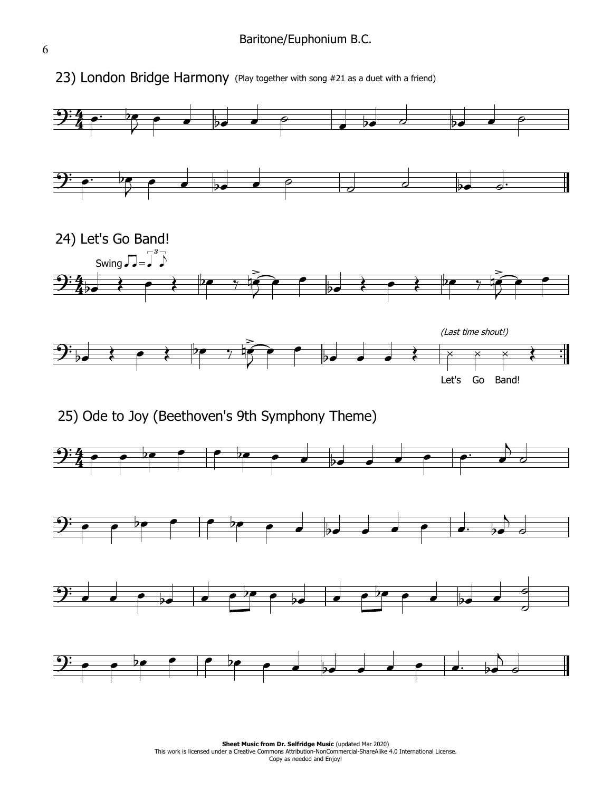

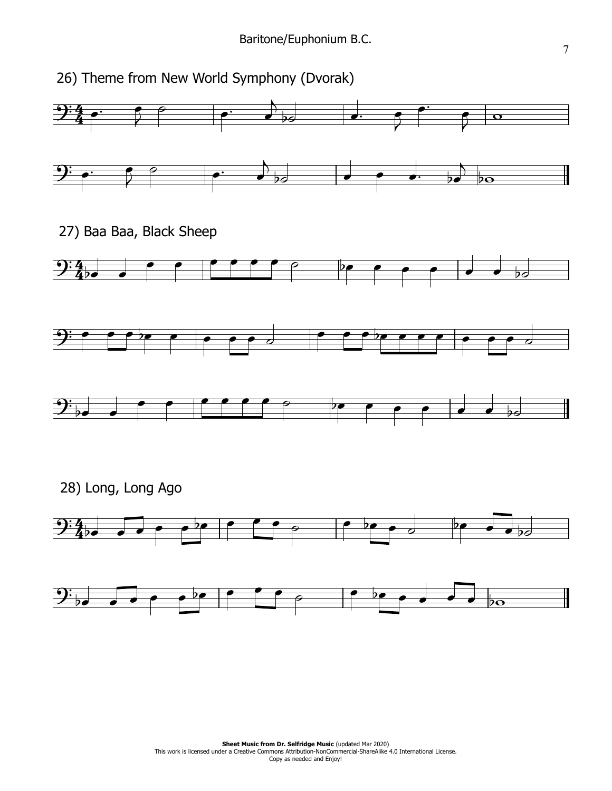26) Theme from New World Symphony (Dvorak)

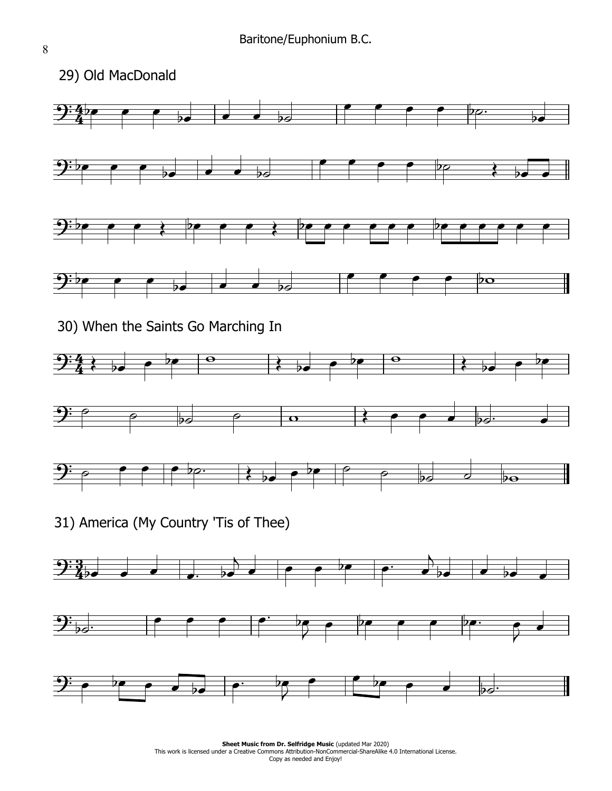

**Sheet Music from Dr. Selfridge Music (updated Mar 2020) Sheet Music from Dr. Selfridge Music** (updated Mar 2020)<br>This work is licensed under a Creative Commons Attribution-NonCommercial-ShareAlike 4.0 International License. Copy as needed and Enjoy!